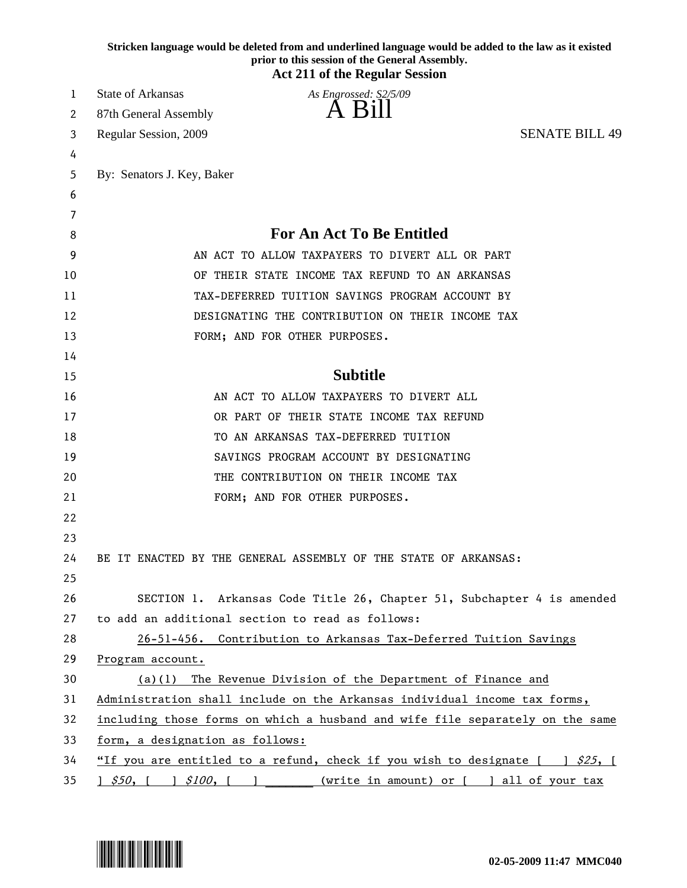|    | Stricken language would be deleted from and underlined language would be added to the law as it existed<br>prior to this session of the General Assembly.<br><b>Act 211 of the Regular Session</b> |
|----|----------------------------------------------------------------------------------------------------------------------------------------------------------------------------------------------------|
| 1  | State of Arkansas<br>As Engrossed: S2/5/09                                                                                                                                                         |
| 2  | A Bill<br>87th General Assembly                                                                                                                                                                    |
| 3  | <b>SENATE BILL 49</b><br>Regular Session, 2009                                                                                                                                                     |
| 4  |                                                                                                                                                                                                    |
| 5  | By: Senators J. Key, Baker                                                                                                                                                                         |
| 6  |                                                                                                                                                                                                    |
| 7  |                                                                                                                                                                                                    |
| 8  | <b>For An Act To Be Entitled</b>                                                                                                                                                                   |
| 9  | AN ACT TO ALLOW TAXPAYERS TO DIVERT ALL OR PART                                                                                                                                                    |
| 10 | OF THEIR STATE INCOME TAX REFUND TO AN ARKANSAS                                                                                                                                                    |
| 11 | TAX-DEFERRED TUITION SAVINGS PROGRAM ACCOUNT BY                                                                                                                                                    |
| 12 | DESIGNATING THE CONTRIBUTION ON THEIR INCOME TAX                                                                                                                                                   |
| 13 | FORM; AND FOR OTHER PURPOSES.                                                                                                                                                                      |
| 14 |                                                                                                                                                                                                    |
| 15 | <b>Subtitle</b>                                                                                                                                                                                    |
| 16 | AN ACT TO ALLOW TAXPAYERS TO DIVERT ALL                                                                                                                                                            |
| 17 | OR PART OF THEIR STATE INCOME TAX REFUND                                                                                                                                                           |
| 18 | TO AN ARKANSAS TAX-DEFERRED TUITION                                                                                                                                                                |
| 19 | SAVINGS PROGRAM ACCOUNT BY DESIGNATING                                                                                                                                                             |
| 20 | THE CONTRIBUTION ON THEIR INCOME TAX                                                                                                                                                               |
| 21 | FORM; AND FOR OTHER PURPOSES.                                                                                                                                                                      |
| 22 |                                                                                                                                                                                                    |
| 23 |                                                                                                                                                                                                    |
| 24 | BE IT ENACTED BY THE GENERAL ASSEMBLY OF THE STATE OF ARKANSAS:                                                                                                                                    |
| 25 |                                                                                                                                                                                                    |
| 26 | SECTION 1. Arkansas Code Title 26, Chapter 51, Subchapter 4 is amended                                                                                                                             |
| 27 | to add an additional section to read as follows:                                                                                                                                                   |
| 28 | 26-51-456. Contribution to Arkansas Tax-Deferred Tuition Savings                                                                                                                                   |
| 29 | Program account.                                                                                                                                                                                   |
| 30 | $(a)(1)$ The Revenue Division of the Department of Finance and                                                                                                                                     |
| 31 | Administration shall include on the Arkansas individual income tax forms,                                                                                                                          |
| 32 | including those forms on which a husband and wife file separately on the same                                                                                                                      |
| 33 | form, a designation as follows:                                                                                                                                                                    |
| 34 | "If you are entitled to a refund, check if you wish to designate $[$ ] $$25$ , [                                                                                                                   |
| 35 | ] $$50, [$ ] $$100, [$ ] (write in amount) or [ ] all of your tax                                                                                                                                  |